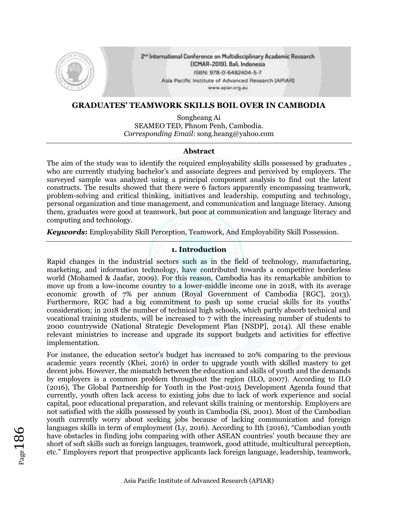

2<sup>nd</sup> International Conference on Multidisciplinary Academic Research (ICMAR-2019), Bali, Indonesia ISBN: 978-0-6482404-5-7 Asia Pacific Institute of Advanced Research (APIAR) www.apiar.org.au

## **GRADUATES' TEAMWORK SKILLS BOIL OVER IN CAMBODIA**

Songheang Ai SEAMEO TED, Phnom Penh, Cambodia. *Corresponding Email*: song.heang@yahoo.com

#### **Abstract**

The aim of the study was to identify the required employability skills possessed by graduates , who are currently studying bachelor's and associate degrees and perceived by employers. The surveyed sample was analyzed using a principal component analysis to find out the latent constructs. The results showed that there were 6 factors apparently encompassing teamwork, problem-solving and critical thinking, initiatives and leadership, computing and technology, personal organization and time management, and communication and language literacy. Among them, graduates were good at teamwork, but poor at communication and language literacy and computing and technology.

*Keywords***:** Employability Skill Perception, Teamwork, And Employability Skill Possession.

## **1. Introduction**

Rapid changes in the industrial sectors such as in the field of technology, manufacturing, marketing, and information technology, have contributed towards a competitive borderless world (Mohamed & Jaafar, 2009). For this reason, Cambodia has its remarkable ambition to move up from a low-income country to a lower-middle income one in 2018, with its average economic growth of 7% per annum (Royal Government of Cambodia [RGC], 2013). Furthermore, RGC had a big commitment to push up some crucial skills for its youths' consideration; in 2018 the number of technical high schools, which partly absorb technical and vocational training students, will be increased to 7 with the increasing number of students to 2000 countrywide (National Strategic Development Plan [NSDP], 2014). All these enable relevant ministries to increase and upgrade its support budgets and activities for effective implementation.

For instance, the education sector's budget has increased to 20% comparing to the previous academic years recently (Khei, 2016) in order to upgrade youth with skilled mastery to get decent jobs. However, the mismatch between the education and skills of youth and the demands by employers is a common problem throughout the region (ILO, 2007). According to ILO (2016), The Global Partnership for Youth in the Post-2015 Development Agenda found that currently, youth often lack access to existing jobs due to lack of work experience and social capital, poor educational preparation, and relevant skills training or mentorship. Employers are not satisfied with the skills possessed by youth in Cambodia (Si, 2001). Most of the Cambodian youth currently worry about seeking jobs because of lacking communication and foreign languages skills in term of employment (Ly, 2016). According to Ith (2016), "Cambodian youth have obstacles in finding jobs comparing with other ASEAN countries' youth because they are short of soft skills such as foreign languages, teamwork, good attitude, multicultural perception, etc." Employers report that prospective applicants lack foreign language, leadership, teamwork,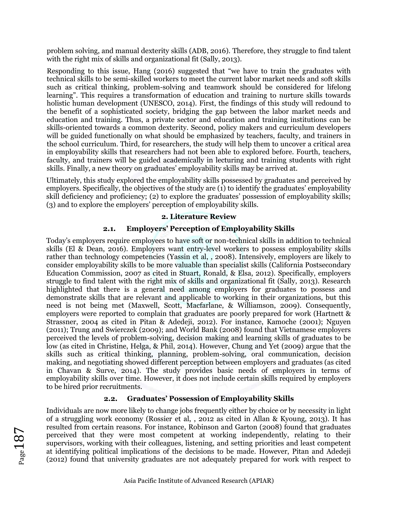problem solving, and manual dexterity skills (ADB, 2016). Therefore, they struggle to find talent with the right mix of skills and organizational fit (Sally, 2013).

Responding to this issue, Hang (2016) suggested that "we have to train the graduates with technical skills to be semi-skilled workers to meet the current labor market needs and soft skills such as critical thinking, problem-solving and teamwork should be considered for lifelong learning". This requires a transformation of education and training to nurture skills towards holistic human development (UNESCO, 2014). First, the findings of this study will redound to the benefit of a sophisticated society, bridging the gap between the labor market needs and education and training. Thus, a private sector and education and training institutions can be skills-oriented towards a common dexterity. Second, policy makers and curriculum developers will be guided functionally on what should be emphasized by teachers, faculty, and trainers in the school curriculum. Third, for researchers, the study will help them to uncover a critical area in employability skills that researchers had not been able to explored before. Fourth, teachers, faculty, and trainers will be guided academically in lecturing and training students with right skills. Finally, a new theory on graduates' employability skills may be arrived at.

Ultimately, this study explored the employability skills possessed by graduates and perceived by employers. Specifically, the objectives of the study are (1) to identify the graduates' employability skill deficiency and proficiency; (2) to explore the graduates' possession of employability skills; (3) and to explore the employers' perception of employability skills.

### **2. Literature Review**

## **2.1. Employers' Perception of Employability Skills**

Today's employers require employees to have soft or non-technical skills in addition to technical skills (El & Dean, 2016). Employers want entry-level workers to possess employability skills rather than technology competencies (Yassin et al, , 2008). Intensively, employers are likely to consider employability skills to be more valuable than specialist skills (California Postsecondary Education Commission, 2007 as cited in Stuart, Ronald, & Elsa, 2012). Specifically, employers struggle to find talent with the right mix of skills and organizational fit (Sally, 2013). Research highlighted that there is a general need among employers for graduates to possess and demonstrate skills that are relevant and applicable to working in their organizations, but this need is not being met (Maxwell, Scott, Macfarlane, & Williamson, 2009). Consequently, employers were reported to complain that graduates are poorly prepared for work (Hartnett & Strassner, 2004 as cited in Pitan & Adedeji, 2012). For instance, Kamoche (2001); Nguyen (2011); Trung and Swierczek (2009); and World Bank (2008) found that Vietnamese employers perceived the levels of problem-solving, decision making and learning skills of graduates to be low (as cited in Christine, Helga, & Phil, 2014). However, Chung and Yet (2009) argue that the skills such as critical thinking, planning, problem-solving, oral communication, decision making, and negotiating showed different perception between employers and graduates (as cited in Chavan & Surve, 2014). The study provides basic needs of employers in terms of employability skills over time. However, it does not include certain skills required by employers to be hired prior recruitments.

## **2.2. Graduates' Possession of Employability Skills**

Individuals are now more likely to change jobs frequently either by choice or by necessity in light of a struggling work economy (Rossier et al, , 2012 as cited in Allan & Kyoung, 2013). It has resulted from certain reasons. For instance, Robinson and Garton (2008) found that graduates perceived that they were most competent at working independently, relating to their supervisors, working with their colleagues, listening, and setting priorities and least competent at identifying political implications of the decisions to be made. However, Pitan and Adedeji (2012) found that university graduates are not adequately prepared for work with respect to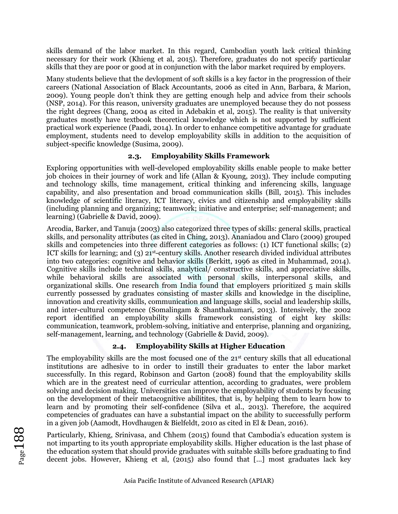skills demand of the labor market. In this regard, Cambodian youth lack critical thinking necessary for their work (Khieng et al, 2015). Therefore, graduates do not specify particular skills that they are poor or good at in conjunction with the labor market required by employers.

Many students believe that the devlopment of soft skills is a key factor in the progression of their careers (National Association of Black Accountants, 2006 as cited in Ann, Barbara, & Marion, 2009). Young people don't think they are getting enough help and advice from their schools (NSP, 2014). For this reason, university graduates are unemployed because they do not possess the right degrees (Chang, 2004 as cited in Adebakin et al, 2015). The reality is that university graduates mostly have textbook theoretical knowledge which is not supported by sufficient practical work experience (Paadi, 2014). In order to enhance competitive advantage for graduate employment, students need to develop employability skills in addition to the acquisition of subject-specific knowledge (Susima, 2009).

## **2.3. Employability Skills Framework**

Exploring opportunities with well-developed employability skills enable people to make better job choices in their journey of work and life (Allan & Kyoung, 2013). They include computing and technology skills, time management, critical thinking and inferencing skills, language capability, and also presentation and broad communication skills (Bill, 2015). This includes knowledge of scientific literacy, ICT literacy, civics and citizenship and employability skills (including planning and organizing; teamwork; initiative and enterprise; self-management; and learning) (Gabrielle & David, 2009).

Arcodia, Barker, and Tanuja (2003) also categorized three types of skills: general skills, practical skills, and personality attributes (as cited in Ching, 2013). Ananiadou and Claro (2009) grouped skills and competencies into three different categories as follows: (1) ICT functional skills; (2) ICT skills for learning; and (3)  $21^{st}$ -century skills. Another research divided individual attributes into two categories: cognitive and behavior skills (Berkitt, 1996 as cited in Muhammad, 2014). Cognitive skills include technical skills, analytical/ constructive skills, and appreciative skills, while behavioral skills are associated with personal skills, interpersonal skills, and organizational skills. One research from India found that employers prioritized 5 main skills currently possessed by graduates consisting of master skills and knowledge in the discipline, innovation and creativity skills, communication and language skills, social and leadership skills, and inter-cultural competence (Somalingam & Shanthakumari, 2013). Intensively, the 2002 report identified an employability skills framework consisting of eight key skills: communication, teamwork, problem-solving, initiative and enterprise, planning and organizing, self-management, learning, and technology (Gabrielle & David, 2009).

## **2.4. Employability Skills at Higher Education**

The employability skills are the most focused one of the 21<sup>st</sup> century skills that all educational institutions are adhesive to in order to instill their graduates to enter the labor market successfully. In this regard, Robinson and Garton (2008) found that the employability skills which are in the greatest need of curricular attention, according to graduates, were problem solving and decision making. Universities can improve the employability of students by focusing on the development of their metacognitive abilitites, that is, by helping them to learn how to learn and by promoting their self-confidence (Silva et al., 2013). Therefore, the acquired competencies of graduates can have a substantial impact on the ability to successfully perform in a given job (Aamodt, Hovdhaugen & Bielfeldt, 2010 as cited in El & Dean, 2016).

Particularly, Khieng, Srinivasa, and Chhem (2015) found that Cambodia's education system is not imparting to its youth appropriate employability skills. Higher education is the last phase of the education system that should provide graduates with suitable skills before graduating to find decent jobs. However, Khieng et al, (2015) also found that […] most graduates lack key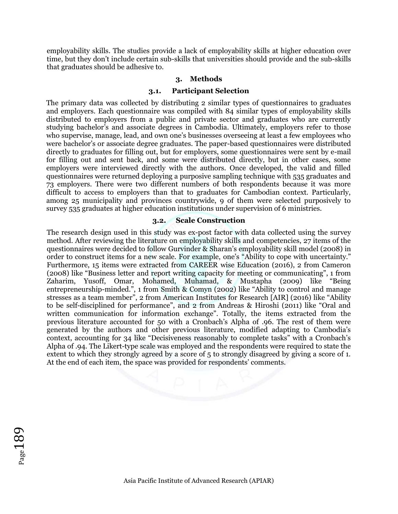employability skills. The studies provide a lack of employability skills at higher education over time, but they don't include certain sub-skills that universities should provide and the sub-skills that graduates should be adhesive to.

#### **3. Methods**

#### **3.1. Participant Selection**

The primary data was collected by distributing 2 similar types of questionnaires to graduates and employers. Each questionnaire was compiled with 84 similar types of employability skills distributed to employers from a public and private sector and graduates who are currently studying bachelor's and associate degrees in Cambodia. Ultimately, employers refer to those who supervise, manage, lead, and own one's businesses overseeing at least a few employees who were bachelor's or associate degree graduates. The paper-based questionnaires were distributed directly to graduates for filling out, but for employers, some questionnaires were sent by e-mail for filling out and sent back, and some were distributed directly, but in other cases, some employers were interviewed directly with the authors. Once developed, the valid and filled questionnaires were returned deploying a purposive sampling technique with 535 graduates and 73 employers. There were two different numbers of both respondents because it was more difficult to access to employers than that to graduates for Cambodian context. Particularly, among 25 municipality and provinces countrywide, 9 of them were selected purposively to survey 535 graduates at higher education institutions under supervision of 6 ministries.

#### **3.2. Scale Construction**

The research design used in this study was ex-post factor with data collected using the survey method. After reviewing the literature on employability skills and competencies, 27 items of the questionnaires were decided to follow Gurvinder & Sharan's employability skill model (2008) in order to construct items for a new scale. For example, one's "Ability to cope with uncertainty." Furthermore, 15 items were extracted from CAREER wise Education (2016), 2 from Cameron (2008) like "Business letter and report writing capacity for meeting or communicating", 1 from Zaharim, Yusoff, Omar, Mohamed, Muhamad, & Mustapha (2009) like "Being entrepreneurship-minded.", 1 from Smith & Comyn (2002) like "Ability to control and manage stresses as a team member", 2 from American Institutes for Research [AIR] (2016) like "Ability to be self-disciplined for performance", and 2 from Andreas & Hiroshi (2011) like "Oral and written communication for information exchange". Totally, the items extracted from the previous literature accounted for 50 with a Cronbach's Alpha of .96. The rest of them were generated by the authors and other previous literature, modified adapting to Cambodia's context, accounting for 34 like "Decisiveness reasonably to complete tasks" with a Cronbach's Alpha of .94. The Likert-type scale was employed and the respondents were required to state the extent to which they strongly agreed by a score of 5 to strongly disagreed by giving a score of 1. At the end of each item, the space was provided for respondents' comments.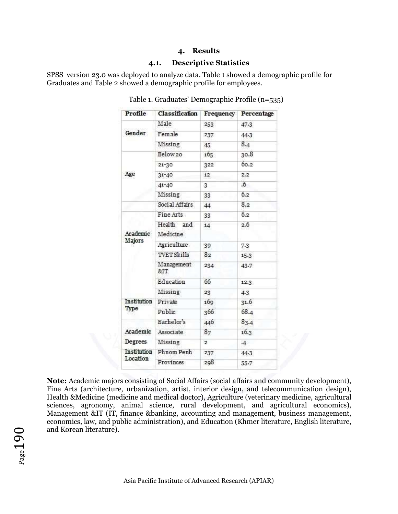#### **4. Results**

#### **4.1. Descriptive Statistics**

SPSS version 23.0 was deployed to analyze data. Table 1 showed a demographic profile for Graduates and Table 2 showed a demographic profile for employees.

| Profile            | Classification         | Frequency      | Percentage |  |
|--------------------|------------------------|----------------|------------|--|
|                    | Male                   | 253            | 47.3       |  |
| Gender             | Female                 | 237            | 44.3       |  |
|                    | Missing                | 45             | 8.4        |  |
|                    | Below 20               | 165            | 30.8       |  |
|                    | $21 - 30$              | 322            | 60.2       |  |
| Age                | $31 - 40$              | 12             | 2.2        |  |
|                    | $41 - 40$              | 3              | 6.6        |  |
|                    | Missing                | 33             | 6.2        |  |
|                    | Social Affairs         | 44             | 8.2        |  |
|                    | Fine Arts              | 33             | 6.2        |  |
| Academic<br>Majors | Health and<br>Medicine | 14             | 2.6        |  |
|                    | Agriculture            | 39             | 7.3        |  |
|                    | <b>TVET Skills</b>     | 8 <sub>2</sub> | 15.3       |  |
|                    | Management<br>81T      | 234            | 43.7       |  |
|                    | Education              | 66             | 12.3       |  |
|                    | Missing                | 23             | 4.3        |  |
| Institution        | Private                | 169            | 31.6       |  |
| Type               | Public                 | 366            | 68.4       |  |
|                    | Bachelor's             | 446            | 83.4       |  |
| Academic           | Associate              | 87             | 16.3       |  |
| Degrees            | Missing                | $\overline{2}$ | $\cdot$ 4  |  |
| Institution        | Phnom Penh             | 237            | 44.3       |  |
| Location           | Provinces              | 298            | 55.7       |  |

Table 1. Graduates' Demographic Profile (n=535)

**Note:** Academic majors consisting of Social Affairs (social affairs and community development), Fine Arts (architecture, urbanization, artist, interior design, and telecommunication design), Health &Medicine (medicine and medical doctor), Agriculture (veterinary medicine, agricultural sciences, agronomy, animal science, rural development, and agricultural economics), Management &IT (IT, finance &banking, accounting and management, business management, economics, law, and public administration), and Education (Khmer literature, English literature, and Korean literature).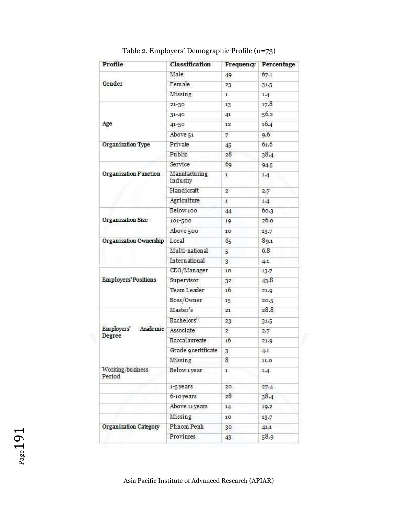| Profile                    | Classification            | Frequency       | Percentage |
|----------------------------|---------------------------|-----------------|------------|
|                            | Male                      | 49              | 67.1       |
| Gender                     | Female                    | 23              | 31.5       |
|                            | Missing                   | 1               | 1.4        |
|                            | 21-30                     | 13              | 17.8       |
|                            | $31 - 40$                 | 41              | 56.2       |
| Age                        | 41-50                     | 12              | 16.4       |
|                            | Above 51                  | 7               | 9.6        |
| Organization Type          | Private                   | 45              | 61.6       |
|                            | Public                    | 28              | 38.4       |
|                            | Service                   | 69              | 94.5       |
| Organization Function      | Manufacturing<br>industry | 1               | 1.4        |
|                            | Handicraft                | $2^{\circ}$     | 2.7        |
|                            | Agriculture               | $\mathbf{1}$    | 1.4        |
|                            | Below100                  | 44              | 60.3       |
| Organization Size          | 101-500                   | 19              | 26.0       |
|                            | Above 500                 | 10              | 13.7       |
| Organization Ownership     | Local                     | 65              | 89.1       |
|                            | Multi-national            | 5               | 6.8        |
|                            | International             | $3^{\circ}$     | 4.1        |
|                            | CEO/Manager               | 10              | 13.7       |
| Employers' Positions       | Supervisor                | 32              | 43.8       |
|                            | <b>Team Leader</b>        | 16              | 21.9       |
|                            | Boss/Owner                | 15              | 20.5       |
|                            | Master's                  | 21              | 28.8       |
|                            | Bachelors"                | 23              | 31.5       |
| Employers'<br>Academic     | Associate                 | $\overline{2}$  | 2.7        |
| Degree                     | Baccalaureate             | 16              | 21.9       |
|                            | Grade 9 certificate       | $\overline{3}$  | 4.1        |
|                            | Missing                   | 8               | 11.0       |
| Working/business<br>Period | Belowiyear                | $1^{\circ}$     | 1.4        |
|                            | 1-5 years                 | 20 <sub>1</sub> | 27.4       |
|                            | 6-10 years                | 28              | 38.4       |
|                            | Above 11 years            | 14              | 19.2       |
|                            | Missing                   | 10              | 13.7       |
| Organization Category      | Phnom Penh                | 30              | 41.1       |
|                            | Provinces                 | 43              | 58.9       |

Table 2. Employers' Demographic Profile (n=73)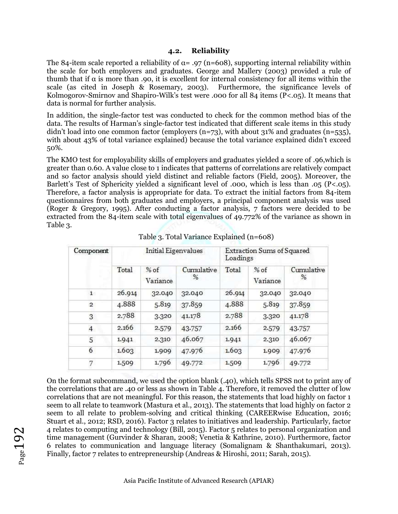#### **4.2. Reliability**

The 84-item scale reported a reliability of  $\alpha = .97$  (n=608), supporting internal reliability within the scale for both employers and graduates. George and Mallery (2003) provided a rule of thumb that if α is more than .90, it is excellent for internal consistency for all items within the scale (as cited in Joseph & Rosemary, 2003). Furthermore, the significance levels of Kolmogorov-Smirnov and Shapiro-Wilk's test were .000 for all 84 items (P<.05). It means that data is normal for further analysis.

In addition, the single-factor test was conducted to check for the common method bias of the data. The results of Harman's single-factor test indicated that different scale items in this study didn't load into one common factor (employers  $(n=73)$ , with about 31% and graduates  $(n=535)$ , with about 43% of total variance explained) because the total variance explained didn't exceed 50%.

The KMO test for employability skills of employers and graduates yielded a score of .96,which is greater than 0.60. A value close to 1 indicates that patterns of correlations are relatively compact and so factor analysis should yield distinct and reliable factors (Field, 2005). Moreover, the Barlett's Test of Sphericity yielded a significant level of .000, which is less than .05 (P<.05). Therefore, a factor analysis is appropriate for data. To extract the initial factors from 84-item questionnaires from both graduates and employers, a principal component analysis was used (Roger & Gregory, 1995). After conducting a factor analysis, 7 factors were decided to be extracted from the 84-item scale with total eigenvalues of 49.772% of the variance as shown in Table 3.

| Component      |                             | Initial Eigenvalues |                 | Extraction Sums of Squared<br>Loadings |                    |                 |  |
|----------------|-----------------------------|---------------------|-----------------|----------------------------------------|--------------------|-----------------|--|
|                | Total<br>$%$ of<br>Variance |                     | Cumulative<br>% | Total                                  | $%$ of<br>Variance | Cumulative<br>% |  |
| 1              | 26.914                      | 32.040              | 32.040          | 26.914                                 | 32.040             | 32.040          |  |
| $\mathbf{2}$   | 4.888                       | 5.819               | 37.859          | 4.888                                  | 5.819              | 37.859          |  |
| 3              | 2.788                       | 3.320               | 41.178          | 2.788                                  | 3.320              | 41.178          |  |
| $\overline{4}$ | 2.166                       | 2.579               | 43.757          | 2.166                                  | 2.579              | 43.757          |  |
| 5              | 1.941                       | 2.310               | 46.067          | 1.941                                  | 2.310              | 46.067          |  |
| 6              | 1.603                       | 1.909               | 47.976          | 1.603                                  | 1.909              | 47.976          |  |
| 7              | 1.509                       | 1.796               | 49.772          | 1.509                                  | 1.796              | 49.772          |  |

Table 3. Total Variance Explained (n=608)

On the format subcommand, we used the option blank (.40), which tells SPSS not to print any of the correlations that are .40 or less as shown in Table 4. Therefore, it removed the clutter of low correlations that are not meaningful. For this reason, the statements that load highly on factor 1 seem to all relate to teamwork (Mastura et al., 2013). The statements that load highly on factor 2 seem to all relate to problem-solving and critical thinking (CAREERwise Education, 2016; Stuart et al., 2012; RSD, 2016). Factor 3 relates to initiatives and leadership. Particularly, factor 4 relates to computing and technology (Bill, 2015). Factor 5 relates to personal organization and time management (Gurvinder & Sharan, 2008; Venetia & Kathrine, 2010). Furthermore, factor 6 relates to communication and language literacy (Somalignam & Shanthakumari, 2013). Finally, factor 7 relates to entrepreneurship (Andreas & Hiroshi, 2011; Sarah, 2015).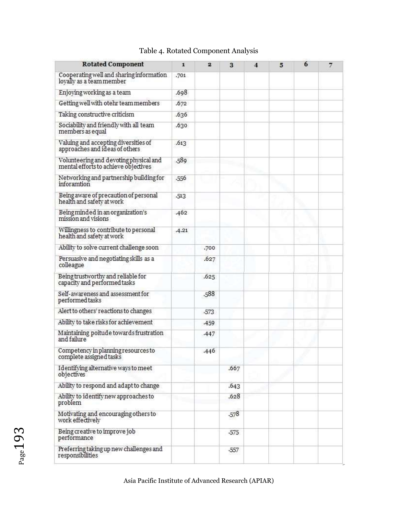| <b>Rotated Component</b>                                                       | 1       | $\overline{2}$ | 3      | $\overline{\bf{4}}$ | 5 | 6 | $\overline{\tau}$ |
|--------------------------------------------------------------------------------|---------|----------------|--------|---------------------|---|---|-------------------|
| Cooperating well and sharing information<br>loyally as a team member           | .701    |                |        |                     |   |   |                   |
| Enjoying working as a team                                                     | .698    |                |        |                     |   |   |                   |
| Getting well with otehr team members                                           | .672    |                |        |                     |   |   |                   |
| Taking constructive criticism                                                  | .636    |                |        |                     |   |   |                   |
| Sociability and friendly with all team<br>members as equal                     | .630    |                |        |                     |   |   |                   |
| Valuing and accepting diversities of<br>approaches and ideas of others         | .613    |                |        |                     |   |   |                   |
| Volunteering and devoting physical and<br>mental efforts to achieve objectives | .589    |                |        |                     |   |   |                   |
| Networking and partnership building for<br>inforamtion                         | .556    |                |        |                     |   |   |                   |
| Being aware of precaution of personal<br>health and safety at work             | $-513$  |                |        |                     |   |   |                   |
| Being minded in an organization's<br>mission and visions                       | .462    |                |        |                     |   |   |                   |
| Willingness to contribute to personal<br>health and safety at work             | $-4.21$ |                |        |                     |   |   |                   |
| Ability to solve current challenge soon                                        |         | .700           |        |                     |   |   |                   |
| Persuasive and negotiating skills as a<br>colleague                            |         | .627           |        |                     |   |   |                   |
| Being trustworthy and reliable for<br>capacity and performed tasks             |         | .625           |        |                     |   |   |                   |
| Self-awareness and assessment for<br>performed tasks                           |         | .588           |        |                     |   |   |                   |
| Alert to others' reactions to changes                                          |         | $-573$         |        |                     |   |   |                   |
| Ability to take risks for achievement                                          |         | .459           |        |                     |   |   |                   |
| Maintaining poitude towards frustration<br>and failure                         |         | 447            |        |                     |   |   |                   |
| Competency in planning resources to<br>complete assigned tasks                 |         | .446           |        |                     |   |   |                   |
| Identifying alternative ways to meet<br>objectives                             |         |                | .667   |                     |   |   |                   |
| Ability to respond and adapt to change                                         |         |                | .643   |                     |   |   |                   |
| Ability to identify new approaches to<br>problem                               |         |                | .628   |                     |   |   |                   |
| Motivating and encouraging others to<br>work effectively                       |         |                | $-578$ |                     |   |   |                   |
| Being creative to improve job<br>performance                                   |         |                | $-575$ |                     |   |   |                   |
| Preferring taking up new challenges and<br>responsibilities                    |         |                | -557   |                     |   |   |                   |

# Table 4. Rotated Component Analysis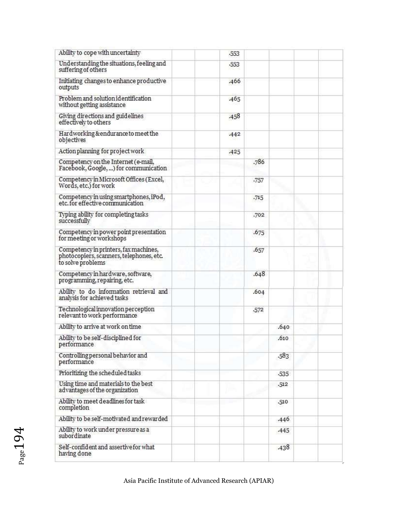| Ability to cope with uncertainty                                                                       |  | $-553$ |        |        |  |
|--------------------------------------------------------------------------------------------------------|--|--------|--------|--------|--|
| Understanding the situations, feeling and<br>suffering of others                                       |  | $-553$ |        |        |  |
| Initiating changes to enhance productive<br>outputs                                                    |  | .466   |        |        |  |
| Problem and solution identification<br>without getting assistance                                      |  | .465   |        |        |  |
| Giving directions and guidelines<br>effectively to others                                              |  | .458   |        |        |  |
| Hardworking &endurance to meet the<br>objectives                                                       |  | $-442$ |        |        |  |
| Action planning for project work                                                                       |  | .425   |        |        |  |
| Competency on the Internet (e-mail,<br>Facebook, Google, ) for communication                           |  |        | .786   |        |  |
| Competency in Microsoft Offices (Excel,<br>Words, etc.) for work                                       |  |        | .757   |        |  |
| Competency in using smartphones, iPod,<br>etc. for effective communication                             |  |        | .715   |        |  |
| Typing ability for completing tasks<br>successfully                                                    |  |        | .702   |        |  |
| Competency in power point presentation<br>for meeting or workshops                                     |  |        | .675   |        |  |
| Competency in printers, fax machines,<br>photocopiers, scanners, telephones, etc.<br>to solve problems |  |        | .657   |        |  |
| Competency in hardware, software,<br>programming, repairing, etc.                                      |  |        | .648   |        |  |
| Ability to do information retrieval and<br>analysis for achieved tasks                                 |  |        | .604   |        |  |
| Technological innovation perception<br>relevant to work performance                                    |  |        | $-572$ |        |  |
| Ability to arrive at work on time                                                                      |  |        |        | .640   |  |
| Ability to be self-disciplined for<br>performance                                                      |  |        |        | .610   |  |
| Controlling personal behavior and<br>performance                                                       |  |        |        | $-583$ |  |
| Prioritizing the scheduled tasks                                                                       |  |        |        | $-535$ |  |
| Using time and materials to the best<br>advantages of the organization                                 |  |        |        | $-512$ |  |
| Ability to meet deadlines for task<br>completion                                                       |  |        |        | $-510$ |  |
| Ability to be self-motivated and rewarded                                                              |  |        |        | .446   |  |
| Ability to work under pressure as a<br>subordinate                                                     |  |        |        | $-445$ |  |
| Self-confident and assertive for what<br>having done                                                   |  |        |        | .438   |  |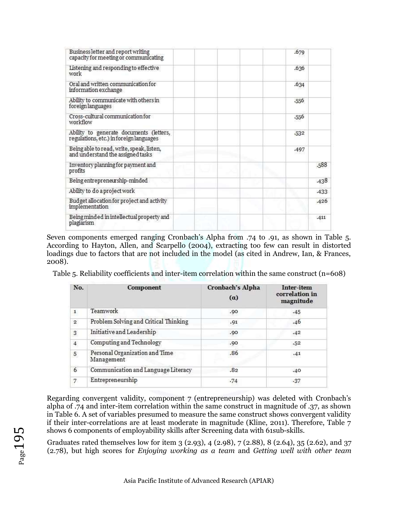| Business letter and report writing<br>capacity for meeting or communicating        |  |  | .679 |      |
|------------------------------------------------------------------------------------|--|--|------|------|
| Listening and responding to effective<br>work                                      |  |  | .636 |      |
| Oral and written communication for<br>information exchange                         |  |  | .634 |      |
| Ability to communicate with others in<br>foreign languages                         |  |  | -556 |      |
| Cross-cultural communication for<br>workflow                                       |  |  | -556 |      |
| Ability to generate documents (letters,<br>regulations, etc.) in foreign languages |  |  | 532  |      |
| Being able to read, write, speak, listen,<br>and understand the assigned tasks     |  |  | .497 |      |
| Inventory planning for payment and<br>profits                                      |  |  |      | .588 |
| Being entrepreneurship-minded                                                      |  |  |      | .438 |
| Ability to do a project work                                                       |  |  |      | .433 |
| Budget allocation for project and activity<br>implementation                       |  |  |      | .426 |
| Being minded in intellectual property and<br>plagiarism                            |  |  |      | .411 |

Seven components emerged ranging Cronbach's Alpha from .74 to .91, as shown in Table 5. According to Hayton, Allen, and Scarpello (2004), extracting too few can result in distorted loadings due to factors that are not included in the model (as cited in Andrew, Ian, & Frances, 2008).

Table 5. Reliability coefficients and inter-item correlation within the same construct  $(n=608)$ 

| No.            | Component                                    | Cronbach's Alpha<br>$(\alpha)$ | Inter-item<br>correlation in<br>magnitude |
|----------------|----------------------------------------------|--------------------------------|-------------------------------------------|
| $\mathbf{1}$   | Teamwork                                     | .90                            | .45                                       |
| $\overline{2}$ | Problem Solving and Critical Thinking        | .91                            | .46                                       |
| $\overline{3}$ | Initiative and Leadership                    | .90                            | .42                                       |
| $\overline{4}$ | Computing and Technology                     | .90                            | .52                                       |
| 5              | Personal Organization and Time<br>Management | .86                            | .41                                       |
| 6              | Communication and Language Literacy          | .82                            | .40                                       |
| 7.             | Entrepreneurship                             | .74                            | $-37$                                     |

Regarding convergent validity, component 7 (entrepreneurship) was deleted with Cronbach's alpha of .74 and inter-item correlation within the same construct in magnitude of .37, as shown in Table 6. A set of variables presumed to measure the same construct shows convergent validity if their inter-correlations are at least moderate in magnitude (Kline, 2011). Therefore, Table 7 shows 6 components of employability skills after Screening data with 61sub-skills.

Graduates rated themselves low for item 3 (2.93), 4 (2.98), 7 (2.88), 8 (2.64), 35 (2.62), and 37 (2.78), but high scores for *Enjoying working as a team* and *Getting well with other team*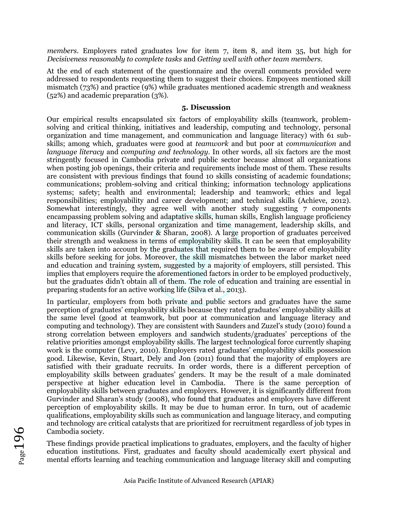*members*. Employers rated graduates low for item 7, item 8, and item 35, but high for *Decisiveness reasonably to complete tasks* and *Getting well with other team members*.

At the end of each statement of the questionnaire and the overall comments provided were addressed to respondents requesting them to suggest their choices. Empoyees mentioned skill mismatch (73%) and practice (9%) while graduates mentioned academic strength and weakness (52%) and academic preparation (3%).

#### **5. Discussion**

Our empirical results encapsulated six factors of employability skills (teamwork, problemsolving and critical thinking, initiatives and leadership, computing and technology, personal organization and time management, and communication and language literacy) with 61 subskills; among which, graduates were good at *teamwork* and but poor at *communication* and *language literacy* and *computing and technology*. In other words, all six factors are the most stringently focused in Cambodia private and public sector because almost all organizations when posting job openings, their criteria and requirements include most of them. These results are consistent with previous findings that found 10 skills consisting of academic foundations; communications; problem-solving and critical thinking; information technology applications systems; safety; health and environmental; leadership and teamwork; ethics and legal responsibilities; employability and career development; and technical skills (Achieve, 2012). Somewhat interestingly, they agree well with another study suggesting 7 components encampassing problem solving and adaptative skills, human skills, English language proficiency and literacy, ICT skills, personal organization and time management, leadership skills, and communication skills (Gurvinder & Sharan, 2008). A large proportion of graduates perceived their strength and weakness in terms of employability skills. It can be seen that employability skills are taken into account by the graduates that required them to be aware of employability skills before seeking for jobs. Moreover, the skill mismatches between the labor market need and education and training system, suggested by a majority of employers, still persisted. This implies that employers require the aforementioned factors in order to be employed productively, but the graduates didn't obtain all of them. The role of education and training are essential in preparing students for an active working life (Silva et al., 2013).

In particular, employers from both private and public sectors and graduates have the same perception of graduates' employability skills because they rated graduates' employability skills at the same level (good at teamwork, but poor at communication and language literacy and computing and technology). They are consistent with Saunders and Zuzel's study (2010) found a strong correlation between employers and sandwich students/graduates' perceptions of the relative priorities amongst employability skills. The largest technological force currently shaping work is the computer (Levy, 2010). Employers rated graduates' employability skills possession good. Likewise, Kevin, Stuart, Dely and Jon (2011) found that the majority of employers are satisfied with their graduate recruits. In order words, there is a different perception of employability skills between graduates' genders. It may be the result of a male dominated perspective at higher education level in Cambodia. There is the same perception of employability skills between graduates and employers. However, it is significantly different from Gurvinder and Sharan's study (2008), who found that graduates and employers have different perception of employability skills. It may be due to human error. In turn, out of academic qualifications, employability skills such as communication and language literacy, and computing and technology are critical catalysts that are prioritized for recruitment regardless of job types in Cambodia society.

These findings provide practical implications to graduates, employers, and the faculty of higher education institutions. First, graduates and faculty should academically exert physical and mental efforts learning and teaching communication and language literacy skill and computing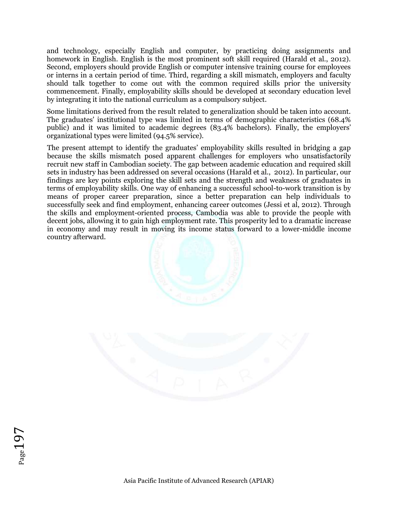and technology, especially English and computer, by practicing doing assignments and homework in English. English is the most prominent soft skill required (Harald et al., 2012). Second, employers should provide English or computer intensive training course for employees or interns in a certain period of time. Third, regarding a skill mismatch, employers and faculty should talk together to come out with the common required skills prior the university commencement. Finally, employability skills should be developed at secondary education level by integrating it into the national curriculum as a compulsory subject.

Some limitations derived from the result related to generalization should be taken into account. The graduates' institutional type was limited in terms of demographic characteristics (68.4% public) and it was limited to academic degrees (83.4% bachelors). Finally, the employers' organizational types were limited (94.5% service).

The present attempt to identify the graduates' employability skills resulted in bridging a gap because the skills mismatch posed apparent challenges for employers who unsatisfactorily recruit new staff in Cambodian society. The gap between academic education and required skill sets in industry has been addressed on several occasions (Harald et al., 2012). In particular, our findings are key points exploring the skill sets and the strength and weakness of graduates in terms of employability skills. One way of enhancing a successful school-to-work transition is by means of proper career preparation, since a better preparation can help individuals to successfully seek and find employment, enhancing career outcomes (Jessi et al, 2012). Through the skills and employment-oriented process, Cambodia was able to provide the people with decent jobs, allowing it to gain high employment rate. This prosperity led to a dramatic increase in economy and may result in moving its income status forward to a lower-middle income country afterward.



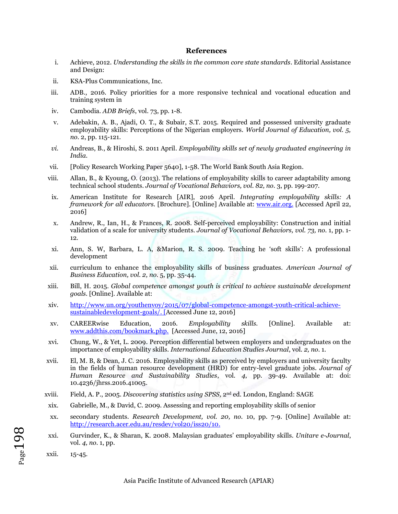#### **References**

- i. Achieve, 2012. *Understanding the skills in the common core state standards*. Editorial Assistance and Design:
- ii. KSA-Plus Communications, Inc.
- iii. ADB., 2016. Policy priorities for a more responsive technical and vocational education and training system in
- iv. Cambodia. *ADB Briefs*, vol. 73, pp. 1-8.
- v. Adebakin, A. B., Ajadi, O. T., & Subair, S.T. 2015. Required and possessed university graduate employability skills: Perceptions of the Nigerian employers. *World Journal of Education, vol. 5, no.* 2, pp. 115-121.
- *vi.* Andreas, B., & Hiroshi, S. 2011 April. *Employability skills set of newly graduated engineering in India.*
- vii. [Policy Research Working Paper 5640], 1-58. The World Bank South Asia Region.
- viii. Allan, B., & Kyoung, O. (2013). The relations of employability skills to career adaptability among technical school students. *Journal of Vocational Behaviors, vol. 82, no.* 3, pp. 199-207.
- ix. American Institute for Research [AIR], 2016 April. *Integrating employability skills: A framework for all educators.* [Brochure]. [Online] Available at: [www.air.org.](http://www.air.org/) [Accessed April 22, 2016]
- x. Andrew, R., Ian, H., & Frances, R. 2008. Self-perceived employability: Construction and initial validation of a scale for university students. *Journal of Vocational Behaviors, vol. 73, no.* 1, pp. 1- 12.
- xi. Ann, S. W, Barbara, L. A, &Marion, R. S. 2009. Teaching he 'soft skills': A professional development
- xii. curriculum to enhance the employability skills of business graduates. *American Journal of Business Education, vol. 2, no.* 5, pp. 35-44.
- xiii. Bill, H. 2015. *Global competence amongst youth is critical to achieve sustainable development goals.* [Online]. Available at:
- xiv. [http://www.un.org/youthenvoy/2015/07/global-competence-amongst-youth-critical-achieve](http://www.un.org/youthenvoy/2015/07/global-competence-amongst-youth-critical-achieve-sustainable-development-goals/)[sustainabledevelopment-goals/.](http://www.un.org/youthenvoy/2015/07/global-competence-amongst-youth-critical-achieve-sustainable-development-goals/) [Accessed June 12, 2016]
- xv. CAREERwise Education, 2016. *Employability skills.* [Online]. Available at: [www.addthis.com/bookmark.php.](http://www.addthis.com/bookmark.php) [Accessed June, 12, 2016]
- xvi. Chung, W., & Yet, L. 2009. Perception differential between employers and undergraduates on the importance of employability skills. *International Education Studies Journal*, vol. *2, no.* 1.
- xvii. El, M. B, & Dean, J. C. 2016. Employability skills as perceived by employers and university faculty in the fields of human resource development (HRD) for entry-level graduate jobs. *Journal of Human Resource and Sustainability Studies*, vol. *4*, pp. 39-49. Available at: [doi:](http://dx.doi.org/10.4236/jhrss.2016.41005)  [10.4236/jhrss.2016.41005.](http://dx.doi.org/10.4236/jhrss.2016.41005)
- xviii. Field, A. P., 2005. *Discovering statistics using SPSS,* 2nd ed. London, England: SAGE
- xix. Gabrielle, M., & David, C. 2009. Assessing and reporting employability skills of senior
- xx. secondary students. *Research Development, vol. 20, no.* 10, pp. 7-9. [Online] Available at: [http://research.acer.edu.au/resdev/vol20/iss20/10.](http://research.acer.edu.au/resdev/vol20/iss20/10)
- xxi. Gurvinder, K., & Sharan, K. 2008. Malaysian graduates' employability skills. *Unitare e-Journal*, vol. *4, no.* 1, pp.
- xxii. 15-45.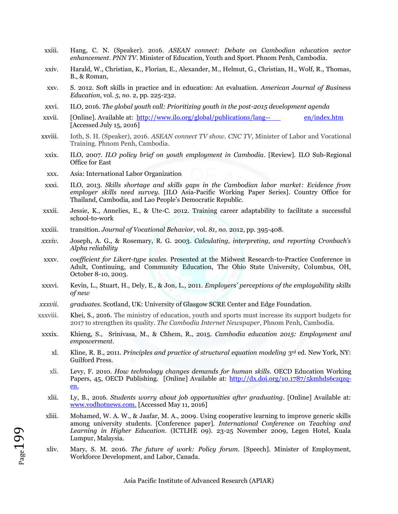- xxiii. Hang, C. N. (Speaker). 2016. *ASEAN connect: Debate on Cambodian education sector enhancement*. *PNN TV*. Minister of Education, Youth and Sport. Phnom Penh, Cambodia.
- xxiv. Harald, W., Christian, K., Florian, E., Alexander, M., Helmut, G., Christian, H., Wolf, R., Thomas, B., & Roman,
- xxv. S. 2012. Soft skills in practice and in education: An evaluation. *American Journal of Business Education*, vol. *5, no.* 2, pp. 225-232.
- xxvi. ILO, 2016. *The global youth call: Prioritizing youth in the post-2015 development agenda*
- xxvii. [Online]. Available at: [http://www.ilo.org/global/publications/lang--](http://www.ilo.org/global/publications/lang--en/index.htm) [en/index.htm](http://www.ilo.org/global/publications/lang--en/index.htm) [Accessed July 15, 2016]
- xxviii. Ioth, S. H. (Speaker), 2016. *ASEAN connect TV show. CNC TV*, Minister of Labor and Vocational Training. Phnom Penh, Cambodia.
- xxix. ILO, 2007. *ILO policy brief on youth employment in Cambodia*. [Review]. ILO Sub-Regional Office for East
- xxx. Asia: International Labor Organization

 $_{\rm Page}$ 199

- xxxi. ILO, 2013. *Skills shortage and skills gaps in the Cambodian labor market: Evidence from employer skills need survey*. [ILO Asia-Pacific Working Paper Series]. Country Office for Thailand, Cambodia, and Lao People's Democratic Republic.
- xxxii. Jessie, K., Annelies, E., & Ute-C. 2012. Training career adaptability to facilitate a successful school-to-work
- xxxiii. transition. *Journal of Vocational Behavior*, vol. *81, no.* 2012, pp. 395-408.
- *xxxiv.* Joseph, A. G., & Rosemary, R. G. 2003. *Calculating, interpreting, and reporting Cronbach's Alpha reliability*
- xxxv. *coefficient for Likert-type scales*. Presented at the Midwest Research-to-Practice Conference in Adult, Continuing, and Community Education, The Ohio State University, Columbus, OH, October 8-10, 2003.
- xxxvi. Kevin, L., Stuart, H., Dely, E., & Jon, L., 2011. *Employers' perceptions of the employability skills of new*
- *xxxvii. graduates*. Scotland, UK: University of Glasgow SCRE Center and Edge Foundation.
- xxxviii. Khei, S., 2016. The ministry of education, youth and sports must increase its support budgets for 2017 to strengthen its quality. *The Cambodia Internet Newspaper*, Phnom Penh, Cambodia.
- xxxix. Khieng, S., Srinivasa, M., & Chhem, R., 2015. *Cambodia education 2015: Employment and empowerment.*
	- xl. Kline, R. B., 2011. *Principles and practice of structural equation modeling* 3rd ed. New York, NY: Guilford Press.
	- xli. Levy, F. 2010. *How technology changes demands for human skills.* OECD Education Working Papers, 45, OECD Publishing. [Online] Available at: [http://dx.doi.org/10.1787/5kmhds6czqzq](http://dx.doi.org/10.1787/5kmhds6czqzq-en)[en.](http://dx.doi.org/10.1787/5kmhds6czqzq-en)
	- xlii. Ly, B., 2016. *Students worry about job opportunities after graduating*. [Online] Available at: [www.vodhotnews.com.](http://www.vodhotnews.com/) [\[](http://www.vodhotnews.com/)Accessed May 11, 2016]
	- xliii. Mohamed, W. A. W., & Jaafar, M. A., 2009. Using cooperative learning to improve generic skills among university students. [Conference paper]. *International Conference on Teaching and Learning in Higher Education*. (ICTLHE 09). 23-25 November 2009, Legen Hotel, Kuala Lumpur, Malaysia.
	- xliv. Mary, S. M. 2016. *The future of work: Policy forum.* [Speech]. Minister of Employment, Workforce Development, and Labor, Canada.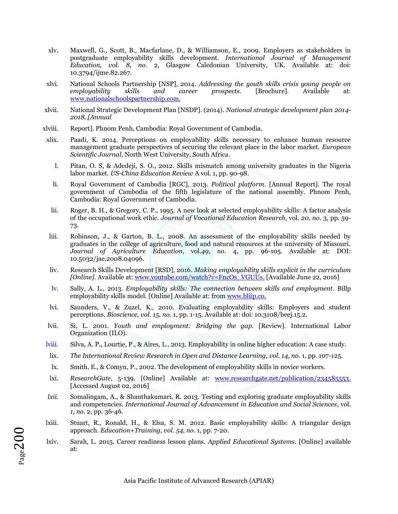- xlv. Maxwell, G., Scott, B., Macfarlane, D., & Williamson, E., 2009. Employers as stakeholders in postgraduate employability skills development. *International Journal of Management Education, vol. 8, no.* 2, Glasgow Caledonian University, UK. Available at: doi: 10.3794/ijme.82.267.
- xlvi. National Schools Partnership [NSP], 2014. *Addressing the youth skills crisis young people on employability skills and career prospects.* [Brochure]. Available at: [www.nationalschoolspartnership.com.](http://www.nationalschoolspartnership.com/)
- xlvii. National Strategic Development Plan [NSDP]. (2014). *National strategic development plan 2014- 2018. [Annual*
- xlviii. Report]. Phnom Penh, Cambodia: Royal Government of Cambodia.
- xlix. Paadi, K. 2014. Perceptions on employability skills necessary to enhance human resource management graduate perspectives of securing the relevant place in the labor market. *European Scientific Journal*, North West University, South Africa.
	- l. Pitan, O. S, & Adedeji, S. O., 2012. Skills mismatch among university graduates in the Nigeria labor market. *US-China Education Review* A vol. 1, pp. 90-98.
	- li. Royal Government of Cambodia [RGC], 2013. *Political platform.* [Annual Report]. The royal government of Cambodia of the fifth legislature of the national assembly. Phnom Penh, Cambodia: Royal Government of Cambodia.
	- lii. Roger, B. H., & Gregory, C. P., 1995. A new look at selected employability skills: A factor analysis of the occupational work ethic. *Journal of Vocational Education Research*, vol. *20, no.* 3, pp. 59- 73.
- liii. Robinson, J., & Garton, B. L., 2008. An assessment of the employability skills needed by graduates in the college of agriculture, food and natural resources at the university of Missouri. *Journal of Agriculture Education*, vol.*49, no.* 4, pp. 96-105. Available at: DOI: 10.5032/jae.2008.04096.
- liv. Research Skills Development [RSD], 2016. *Making employability skills explicit in the curriculum [Online].* Available at[: www.youtube.com/watch?v=FncOs\\_VGUUs.](http://www.youtube.com/watch?v=FncOs_VGUUs) [\[](http://www.youtube.com/watch?v=FncOs_VGUUs)Available June 22, 2016]
- lv. Sally, A. L., 2013. *Employability skills: The connection between skills and employment*. Billp employability skills model. [Online] Available at: fro[m www.bliip.co.](http://www.bliip.co/)
- lvi. Saunders, V., & Zuzel, K., 2010. Evaluating employability skills: Employers and student perceptions. *Bioscience, vol. 15, no.* 1, pp. 1-15. Available at: doi: 10.3108/beej.15.2.
- lvii. Si, L. 2001. *Youth and employment: Bridging the gap.* [Review]. International Labor Organization (ILO).
- lviii. Silva, A. P., Lourtie, P., & Aires, L., 2013. Employability in online higher education: A case study.
- lix. *The International Review Research in Open and Distance Learning, vol. 14, no. 1, pp. 107-125.*
- lx. Smith, E., & Comyn, P., 2002. The development of employability skills in novice workers.
- lxi. *ResearchGate*, 5-139. [Online] Available at: [www.researchgate.net/publication/234585553.](http://www.researchgate.net/publication/234585553) [Accessed August 02, 2016]
- *lxii.* Somalingam, A., & Shanthakumari, R. 2013. Testing and exploring graduate employability skills and competencies. *International Journal of Advancement in Education and Social Sciences*, vol. *1, no.* 2, pp. 36-46.
- lxiii. Stuart, R., Ronald, H., & Elsa, S. M. 2012. Basic employability skills: A triangular design approach. *Education+Training, vol. 54, no.* 1, pp. 7-20.
- lxiv. Sarah, L. 2015. Career readiness lesson plans. *Applied Educational Systems*. [Online] available at: